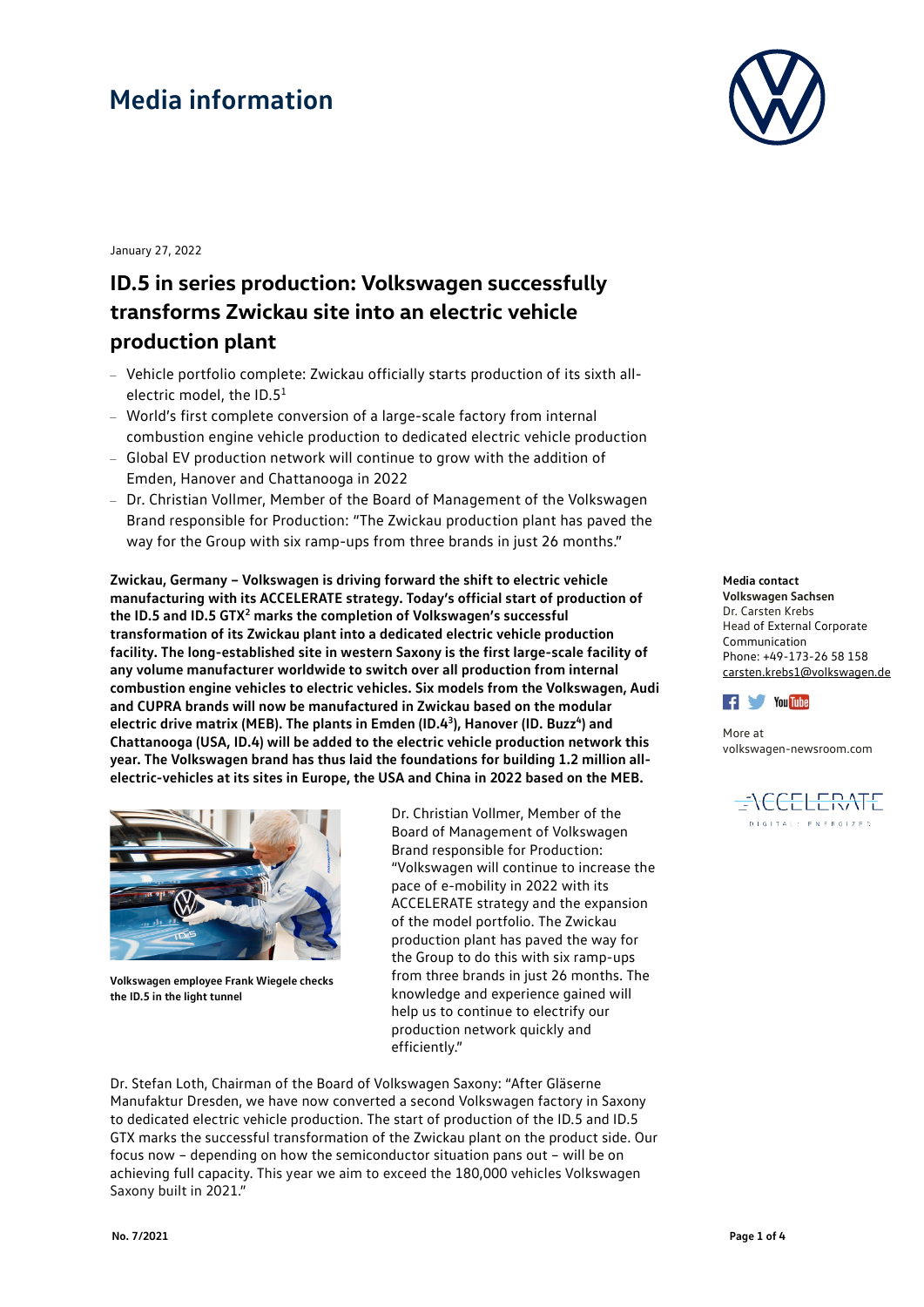

January 27, 2022

### **ID.5 in series production: Volkswagen successfully transforms Zwickau site into an electric vehicle production plant**

- Vehicle portfolio complete: Zwickau officially starts production of its sixth allelectric model, the  $ID.5<sup>1</sup>$
- World's first complete conversion of a large-scale factory from internal combustion engine vehicle production to dedicated electric vehicle production
- Global EV production network will continue to grow with the addition of Emden, Hanover and Chattanooga in 2022
- Dr. Christian Vollmer, Member of the Board of Management of the Volkswagen Brand responsible for Production: "The Zwickau production plant has paved the way for the Group with six ramp-ups from three brands in just 26 months."

**Zwickau, Germany – Volkswagen is driving forward the shift to electric vehicle manufacturing with its ACCELERATE strategy. Today's official start of production of the ID.5 and ID.5 GTX2 marks the completion of Volkswagen's successful transformation of its Zwickau plant into a dedicated electric vehicle production facility. The long-established site in western Saxony is the first large-scale facility of any volume manufacturer worldwide to switch over all production from internal combustion engine vehicles to electric vehicles. Six models from the Volkswagen, Audi and CUPRA brands will now be manufactured in Zwickau based on the modular**  electric drive matrix (MEB). The plants in Emden (ID.4<sup>3</sup>), Hanover (ID. Buzz<sup>4</sup>) and **Chattanooga (USA, ID.4) will be added to the electric vehicle production network this year. The Volkswagen brand has thus laid the foundations for building 1.2 million allelectric-vehicles at its sites in Europe, the USA and China in 2022 based on the MEB.**



**Volkswagen employee Frank Wiegele checks the ID.5 in the light tunnel**

Dr. Christian Vollmer, Member of the Board of Management of Volkswagen Brand responsible for Production: "Volkswagen will continue to increase the pace of e-mobility in 2022 with its ACCELERATE strategy and the expansion of the model portfolio. The Zwickau production plant has paved the way for the Group to do this with six ramp-ups from three brands in just 26 months. The knowledge and experience gained will help us to continue to electrify our production network quickly and efficiently."

Dr. Stefan Loth, Chairman of the Board of Volkswagen Saxony: "After Gläserne Manufaktur Dresden, we have now converted a second Volkswagen factory in Saxony to dedicated electric vehicle production. The start of production of the ID.5 and ID.5 GTX marks the successful transformation of the Zwickau plant on the product side. Our focus now – depending on how the semiconductor situation pans out – will be on achieving full capacity. This year we aim to exceed the 180,000 vehicles Volkswagen Saxony built in 2021."

#### **Media contact**

**Volkswagen Sachsen**  Dr. Carsten Krebs Head of External Corporate Communication Phone: +49-173-26 58 158 [carsten.krebs1@volkswagen.de](mailto:carsten.krebs1@volkswagen.de)



More at [volkswagen-newsroom.com](https://www.volkswagen-newsroom.com/)

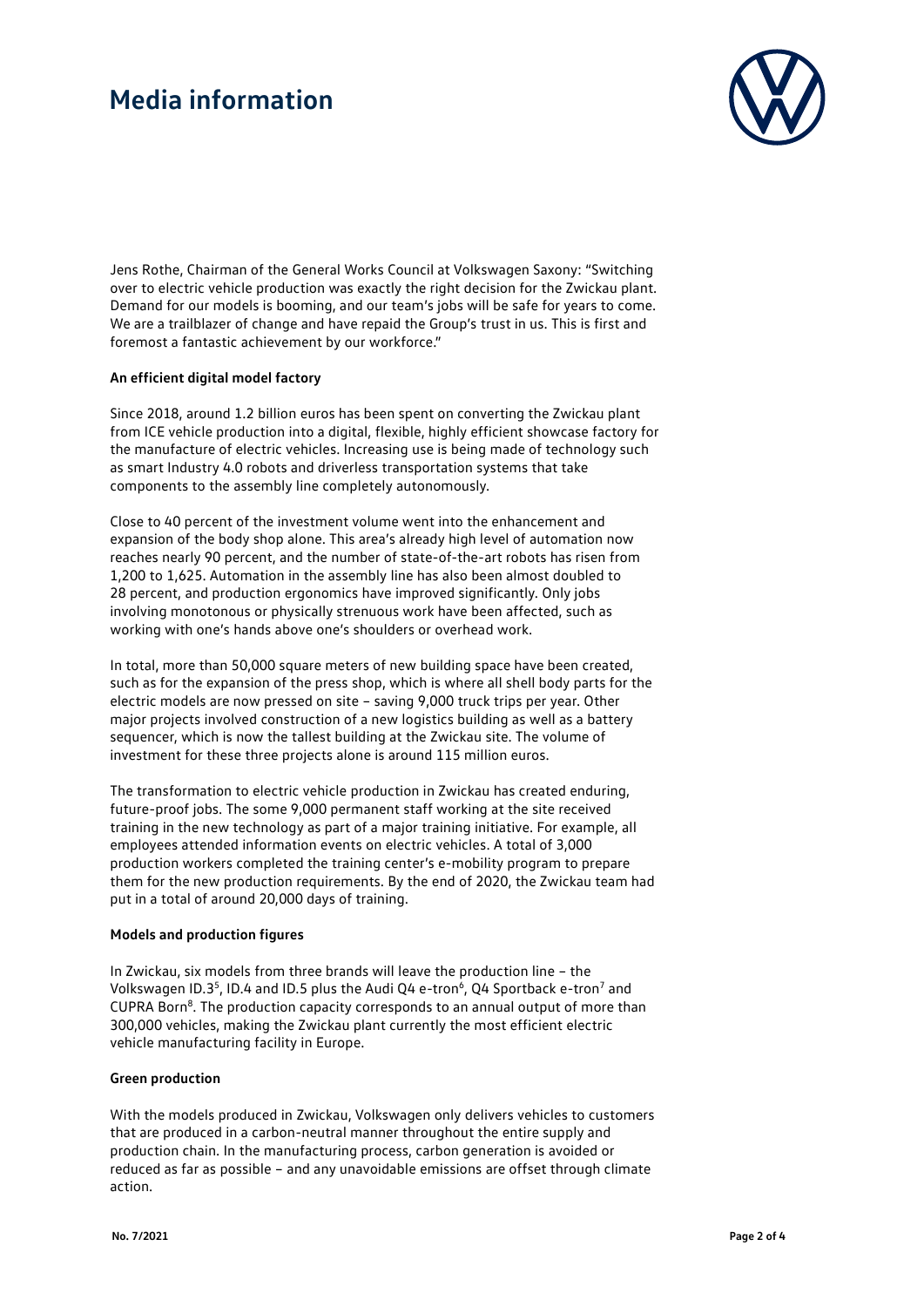

Jens Rothe, Chairman of the General Works Council at Volkswagen Saxony: "Switching over to electric vehicle production was exactly the right decision for the Zwickau plant. Demand for our models is booming, and our team's jobs will be safe for years to come. We are a trailblazer of change and have repaid the Group's trust in us. This is first and foremost a fantastic achievement by our workforce."

#### **An efficient digital model factory**

Since 2018, around 1.2 billion euros has been spent on converting the Zwickau plant from ICE vehicle production into a digital, flexible, highly efficient showcase factory for the manufacture of electric vehicles. Increasing use is being made of technology such as smart Industry 4.0 robots and driverless transportation systems that take components to the assembly line completely autonomously.

Close to 40 percent of the investment volume went into the enhancement and expansion of the body shop alone. This area's already high level of automation now reaches nearly 90 percent, and the number of state-of-the-art robots has risen from 1,200 to 1,625. Automation in the assembly line has also been almost doubled to 28 percent, and production ergonomics have improved significantly. Only jobs involving monotonous or physically strenuous work have been affected, such as working with one's hands above one's shoulders or overhead work.

In total, more than 50,000 square meters of new building space have been created, such as for the expansion of the press shop, which is where all shell body parts for the electric models are now pressed on site – saving 9,000 truck trips per year. Other major projects involved construction of a new logistics building as well as a battery sequencer, which is now the tallest building at the Zwickau site. The volume of investment for these three projects alone is around 115 million euros.

The transformation to electric vehicle production in Zwickau has created enduring, future-proof jobs. The some 9,000 permanent staff working at the site received training in the new technology as part of a major training initiative. For example, all employees attended information events on electric vehicles. A total of 3,000 production workers completed the training center's e-mobility program to prepare them for the new production requirements. By the end of 2020, the Zwickau team had put in a total of around 20,000 days of training.

#### **Models and production figures**

In Zwickau, six models from three brands will leave the production line – the Volkswagen ID.3<sup>5</sup>, ID.4 and ID.5 plus the Audi Q4 e-tron<sup>6</sup>, Q4 Sportback e-tron<sup>7</sup> and CUPRA Born<sup>8</sup>. The production capacity corresponds to an annual output of more than 300,000 vehicles, making the Zwickau plant currently the most efficient electric vehicle manufacturing facility in Europe.

#### **Green production**

With the models produced in Zwickau, Volkswagen only delivers vehicles to customers that are produced in a carbon-neutral manner throughout the entire supply and production chain. In the manufacturing process, carbon generation is avoided or reduced as far as possible – and any unavoidable emissions are offset through climate action.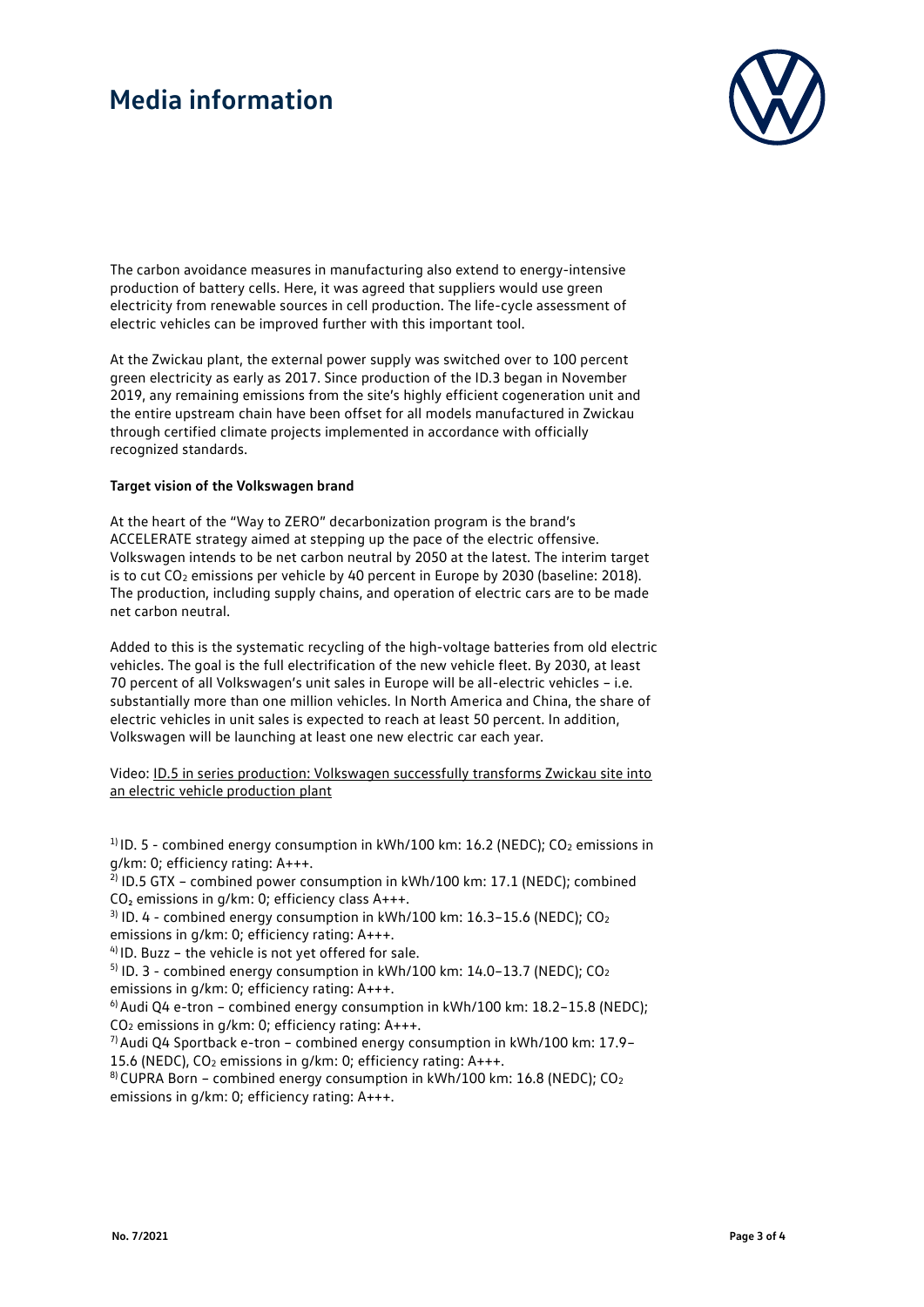

The carbon avoidance measures in manufacturing also extend to energy-intensive production of battery cells. Here, it was agreed that suppliers would use green electricity from renewable sources in cell production. The life-cycle assessment of electric vehicles can be improved further with this important tool.

At the Zwickau plant, the external power supply was switched over to 100 percent green electricity as early as 2017. Since production of the ID.3 began in November 2019, any remaining emissions from the site's highly efficient cogeneration unit and the entire upstream chain have been offset for all models manufactured in Zwickau through certified climate projects implemented in accordance with officially recognized standards.

#### **Target vision of the Volkswagen brand**

At the heart of the "Way to ZERO" decarbonization program is the brand's ACCELERATE strategy aimed at stepping up the pace of the electric offensive. Volkswagen intends to be net carbon neutral by 2050 at the latest. The interim target is to cut CO<sub>2</sub> emissions per vehicle by 40 percent in Europe by 2030 (baseline: 2018). The production, including supply chains, and operation of electric cars are to be made net carbon neutral.

Added to this is the systematic recycling of the high-voltage batteries from old electric vehicles. The goal is the full electrification of the new vehicle fleet. By 2030, at least 70 percent of all Volkswagen's unit sales in Europe will be all-electric vehicles – i.e. substantially more than one million vehicles. In North America and China, the share of electric vehicles in unit sales is expected to reach at least 50 percent. In addition, Volkswagen will be launching at least one new electric car each year.

Video: [ID.5 in series production: Volkswagen successfully transforms Zwickau site into](https://www.volkswagen-newsroom.com/en/videos-and-footage/official-start-of-production-id-5-and-id-5-gtx-in-zwickau-5989)  [an electric vehicle production plant](https://www.volkswagen-newsroom.com/en/videos-and-footage/official-start-of-production-id-5-and-id-5-gtx-in-zwickau-5989)

<sup>1)</sup> ID. 5 - combined energy consumption in kWh/100 km: 16.2 (NEDC); CO<sub>2</sub> emissions in g/km: 0; efficiency rating: A+++.

 $^{2}$ ) ID.5 GTX – combined power consumption in kWh/100 km: 17.1 (NEDC); combined CO₂ emissions in g/km: 0; efficiency class A+++.

 $3$ ) ID. 4 - combined energy consumption in kWh/100 km: 16.3-15.6 (NEDC); CO<sub>2</sub> emissions in g/km: 0; efficiency rating: A+++.

 $4$ ) ID. Buzz – the vehicle is not yet offered for sale.

 $5$  ID. 3 - combined energy consumption in kWh/100 km: 14.0–13.7 (NEDC); CO<sub>2</sub> emissions in g/km: 0; efficiency rating: A+++.

<sup>6)</sup> Audi Q4 e-tron – combined energy consumption in kWh/100 km:  $18.2 - 15.8$  (NEDC): CO2 emissions in g/km: 0; efficiency rating: A+++.

 $7)$  Audi Q4 Sportback e-tron – combined energy consumption in kWh/100 km: 17.9– 15.6 (NEDC), CO2 emissions in g/km: 0; efficiency rating: A+++.

 $8$ ) CUPRA Born – combined energy consumption in kWh/100 km: 16.8 (NEDC); CO<sub>2</sub> emissions in g/km: 0; efficiency rating: A+++.